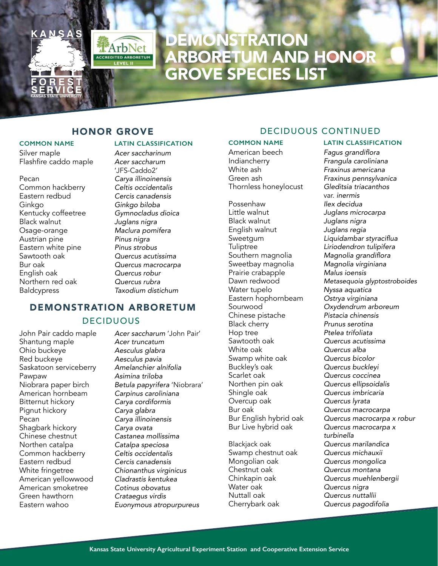

# **DEMONSTRATION** ARBORETUM AND HONOR GROVE SPECIES LIST

# HONOR GROVE

ArbNet

Silver maple *Acer saccharinum* Flashfire caddo maple *Acer saccharum* 

Pecan *Carya illinoinensis* Common hackberry *Celtis occidentalis* Eastern redbud *Cercis canadensis* Ginkgo *Ginkgo biloba* Kentucky coffeetree *Gymnocladus dioica* Black walnut *Juglans nigra* Osage-orange *Maclura pomifera* Austrian pine *Pinus nigra* Eastern white pine *Pinus strobus* Bur oak *Quercus macrocarpa* English oak *Quercus robur* Northern red oak *Quercus rubra* Baldcypress *Taxodium distichum*

## **COMMON NAME LATIN CLASSIFICATION**

'JFS-Caddo2' **Quercus acutissima** 

# DEMONSTRATION ARBORETUM

### DECIDUOUS

Shantung maple *Acer truncatum* Ohio buckeye *Aesculus glabra* Red buckeye *Aesculus pavia* Saskatoon serviceberry Pawpaw *Asimina triloba* Bitternut hickory *Carya cordiformis* Pignut hickory *Carya glabra* Pecan *Carya illinoinensis* Shagbark hickory *Carya ovata* Chinese chestnut *Castanea mollissima* Northen catalpa *Catalpa speciosa* Common hackberry *Celtis occidentalis* Eastern redbud *Cercis canadensis* White fringetree *Chionanthus virginicus* American yellowwood *Cladrastis kentukea* American smoketree *Cotinus obovatus* Green hawthorn *Crataegus virdis* Eastern wahoo *Euonymous atropurpureus*

John Pair caddo maple *Acer saccharum* 'John Pair' Niobrara paper birch *Betula papyrifera* 'Niobrara' American hornbeam *Carpinus caroliniana*

## DECIDUOUS CONTINUED

American beech Fagus grandiflora<br>Indiancherry Frangula carolinia Indiancherry *Frangula caroliniana* Green ash *Fraxinus pennsylvanica* Thornless honeylocust *Gleditsia triacanthos* 

Possenhaw *Ilex decidua* Black walnut *Juglans nigra* English walnut *Juglans regia* Tuliptree *Liriodendron tulipifera* Sweetbay magnolia *Magnolia virg*<br>Prairie crabapple *Malus ioensis* Prairie crabapple<br>Dawn redwood Water tupelo *Nyssa aquatica* Eastern hophornbeam<br>Sourwood Chinese pistache *Pistacia chinensis* **Black cherry** Hop tree *Ptelea trifoliata* Sawtooth oak *Quercus acutissima* Swamp white oak<br>Buckley's oak Scarlet oak *Quercus coccinea* Northen pin oak *Quercus ellipsoidalis* Shingle oak *Quercus imbricaria* Overcup oak *Quercus lyrata* Bur oak *Quercus macrocarpa*  Bur Live hybrid oak *Quercus macrocarpa x* 

Swamp chestnut oak<br>Mongolian oak Mongolian oak *Quercus mongolica* Chestnut oak *Quercus montana* Water oak *Quercus nigra* Cherrybark oak *Quercus pagodifolia*

#### **COMMON NAME LATIN CLASSIFICATION**

White ash *Fraxinus americana* var. *inermis* Little walnut *Juglans microcarpa* Liquidambar styraciflua Magnolia grandiflora<br>Magnolia virginiana Metasequoia glyptostroboides Sourwood *Oxydendrum arboreum* Quercus alba<br>Quercus bicolor Buckley's oak *Quercus buckleyi*  Bur English hybrid oak *Quercus macrocarpa x robur turbinella* Blackjack oak *Quercus marilandica* Chinkapin oak *Quercus muehlenbergii* Quercus nuttallii